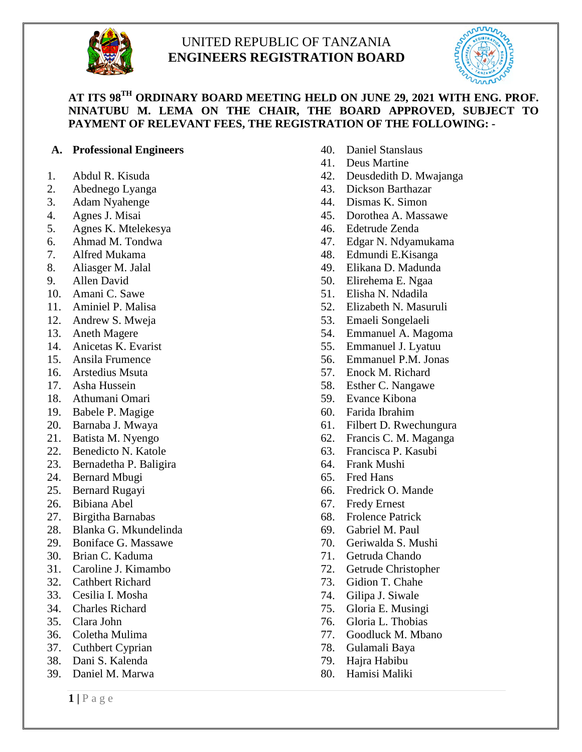

# UNITED REPUBLIC OF TANZANIA **ENGINEERS REGISTRATION BOARD**



# **AT ITS 98TH ORDINARY BOARD MEETING HELD ON JUNE 29, 2021 WITH ENG. PROF. NINATUBU M. LEMA ON THE CHAIR, THE BOARD APPROVED, SUBJECT TO PAYMENT OF RELEVANT FEES, THE REGISTRATION OF THE FOLLOWING: -**

# **A. Professional Engineers**

- 1. Abdul R. Kisuda
- 2. Abednego Lyanga
- 3. Adam Nyahenge
- 4. Agnes J. Misai
- 5. Agnes K. Mtelekesya
- 6. Ahmad M. Tondwa
- 7. Alfred Mukama
- 8. Aliasger M. Jalal
- 9. Allen David
- 10. Amani C. Sawe
- 11. Aminiel P. Malisa
- 12. Andrew S. Mweja
- 13. Aneth Magere
- 14. Anicetas K. Evarist
- 15. Ansila Frumence
- 16. Arstedius Msuta
- 17. Asha Hussein
- 18. Athumani Omari
- 19. Babele P. Magige
- 20. Barnaba J. Mwaya
- 21. Batista M. Nyengo
- 22. Benedicto N. Katole
- 23. Bernadetha P. Baligira
- 24. Bernard Mbugi
- 25. Bernard Rugayi
- 26. Bibiana Abel
- 27. Birgitha Barnabas
- 28. Blanka G. Mkundelinda
- 29. Boniface G. Massawe
- 30. Brian C. Kaduma
- 31. Caroline J. Kimambo
- 32. Cathbert Richard
- 33. Cesilia I. Mosha
- 34. Charles Richard
- 35. Clara John
- 36. Coletha Mulima
- 37. Cuthbert Cyprian
- 38. Dani S. Kalenda
- 39. Daniel M. Marwa
- 40. Daniel Stanslaus
- 41. Deus Martine
- 42. Deusdedith D. Mwajanga
- 43. Dickson Barthazar
- 44. Dismas K. Simon
- 45. Dorothea A. Massawe
- 46. Edetrude Zenda
- 47. Edgar N. Ndyamukama
- 48. Edmundi E.Kisanga
- 49. Elikana D. Madunda
- 50. Elirehema E. Ngaa
- 51. Elisha N. Ndadila
- 52. Elizabeth N. Masuruli
- 53. Emaeli Songelaeli
- 54. Emmanuel A. Magoma
- 55. Emmanuel J. Lyatuu
- 56. Emmanuel P.M. Jonas
- 57. Enock M. Richard
- 58. Esther C. Nangawe
- 59. Evance Kibona
- 60. Farida Ibrahim
- 61. Filbert D. Rwechungura
- 62. Francis C. M. Maganga
- 63. Francisca P. Kasubi
- 64. Frank Mushi
- 65. Fred Hans
- 66. Fredrick O. Mande
- 67. Fredy Ernest
- 68. Frolence Patrick
- 69. Gabriel M. Paul
- 70. Geriwalda S. Mushi
- 71. Getruda Chando
- 72. Getrude Christopher
- 73. Gidion T. Chahe
- 74. Gilipa J. Siwale
- 75. Gloria E. Musingi
- 76. Gloria L. Thobias
- 77. Goodluck M. Mbano
- 78. Gulamali Baya
- 79. Hajra Habibu
- 80. Hamisi Maliki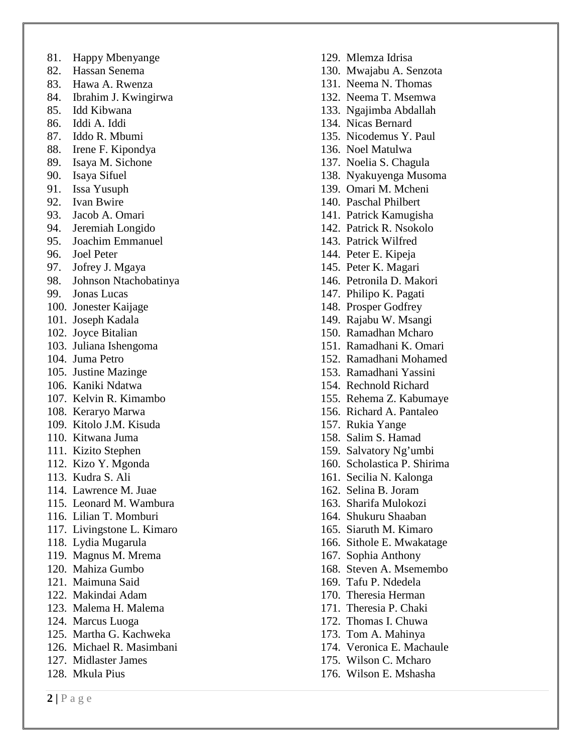- 81. Happy Mbenyange
- 82. Hassan Senema
- 83. Hawa A. Rwenza
- 84. Ibrahim J. Kwingirwa
- 85. Idd Kibwana
- 86. Iddi A. Iddi
- 87. Iddo R. Mbumi
- 88. Irene F. Kipondya
- 89. Isaya M. Sichone
- 90. Isaya Sifuel
- 91. Issa Yusuph
- 92. Ivan Bwire
- 93. Jacob A. Omari
- 94. Jeremiah Longido
- 95. Joachim Emmanuel
- 96. Joel Peter
- 97. Jofrey J. Mgaya
- 98. Johnson Ntachobatinya
- 99. Jonas Lucas
- 100. Jonester Kaijage
- 101. Joseph Kadala
- 102. Joyce Bitalian
- 103. Juliana Ishengoma
- 104. Juma Petro
- 105. Justine Mazinge
- 106. Kaniki Ndatwa
- 107. Kelvin R. Kimambo
- 108. Keraryo Marwa
- 109. Kitolo J.M. Kisuda
- 110. Kitwana Juma
- 111. Kizito Stephen
- 112. Kizo Y. Mgonda
- 113. Kudra S. Ali
- 114. Lawrence M. Juae
- 115. Leonard M. Wambura
- 116. Lilian T. Momburi
- 117. Livingstone L. Kimaro
- 118. Lydia Mugarula
- 119. Magnus M. Mrema
- 120. Mahiza Gumbo
- 121. Maimuna Said
- 122. Makindai Adam
- 123. Malema H. Malema
- 124. Marcus Luoga
- 125. Martha G. Kachweka
- 126. Michael R. Masimbani
- 127. Midlaster James
- 128. Mkula Pius
- 129. Mlemza Idrisa
- 130. Mwajabu A. Senzota
- 131. Neema N. Thomas
- 132. Neema T. Msemwa
- 133. Ngajimba Abdallah
- 134. Nicas Bernard
- 135. Nicodemus Y. Paul
- 136. Noel Matulwa
- 137. Noelia S. Chagula
- 138. Nyakuyenga Musoma
- 139. Omari M. Mcheni
- 140. Paschal Philbert
- 141. Patrick Kamugisha
- 142. Patrick R. Nsokolo
- 143. Patrick Wilfred
- 144. Peter E. Kipeja
- 145. Peter K. Magari
- 146. Petronila D. Makori
- 147. Philipo K. Pagati
- 148. Prosper Godfrey
- 149. Rajabu W. Msangi
- 150. Ramadhan Mcharo
- 151. Ramadhani K. Omari
- 152. Ramadhani Mohamed
- 153. Ramadhani Yassini
- 154. Rechnold Richard
- 155. Rehema Z. Kabumaye
- 156. Richard A. Pantaleo
- 157. Rukia Yange
- 158. Salim S. Hamad
- 159. Salvatory Ng'umbi
- 160. Scholastica P. Shirima
- 161. Secilia N. Kalonga
- 162. Selina B. Joram
- 163. Sharifa Mulokozi
- 164. Shukuru Shaaban
- 165. Siaruth M. Kimaro
- 166. Sithole E. Mwakatage
- 167. Sophia Anthony
- 168. Steven A. Msemembo
- 169. Tafu P. Ndedela
- 170. Theresia Herman
- 171. Theresia P. Chaki
- 172. Thomas I. Chuwa
- 173. Tom A. Mahinya
- 174. Veronica E. Machaule
- 175. Wilson C. Mcharo
- 176. Wilson E. Mshasha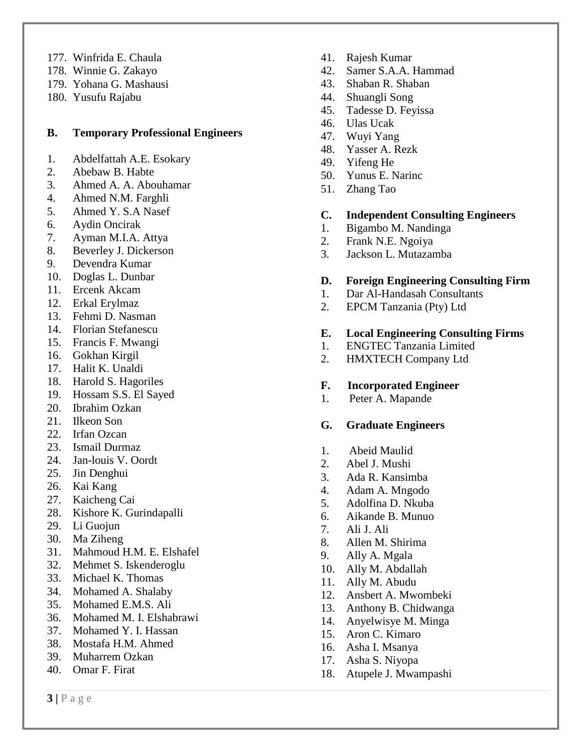- 177. Winfrida E. Chaula
- 178. Winnie G. Zakayo
- 179. Yohana G. Mashausi
- 180. Yusufu Rajabu

#### **B. Temporary Professional Engineers**

- 1. Abdelfattah A.E. Esokary
- 2. Abebaw B. Habte
- 3. Ahmed A. A. Abouhamar
- 4. Ahmed N.M. Farghli
- 5. Ahmed Y. S.A Nasef
- 6. Aydin Oncirak
- 7. Ayman M.I.A. Attya
- 8. Beverley J. Dickerson
- 9. Devendra Kumar
- 10. Doglas L. Dunbar
- 11. Ercenk Akcam
- 12. Erkal Erylmaz
- 13. Fehmi D. Nasman
- 14. Florian Stefanescu
- 15. Francis F. Mwangi
- 16. Gokhan Kirgil
- 17. Halit K. Unaldi
- 18. Harold S. Hagoriles
- 19. Hossam S.S. El Sayed
- 20. Ibrahim Ozkan
- 21. Ilkeon Son
- 22. Irfan Ozcan
- 23. Ismail Durmaz
- 24. Jan-louis V. Oordt
- 25. Jin Denghui
- 26. Kai Kang
- 27. Kaicheng Cai
- 28. Kishore K. Gurindapalli
- 29. Li Guojun
- 30. Ma Ziheng
- 31. Mahmoud H.M. E. Elshafel
- 32. Mehmet S. Iskenderoglu
- 33. Michael K. Thomas
- 34. Mohamed A. Shalaby
- 35. Mohamed E.M.S. Ali
- 36. Mohamed M. I. Elshabrawi
- 37. Mohamed Y. I. Hassan
- 38. Mostafa H.M. Ahmed
- 39. Muharrem Ozkan
- 40. Omar F. Firat
- 41. Rajesh Kumar
- 42. Samer S.A.A. Hammad
- 43. Shaban R. Shaban
- 44. Shuangli Song
- 45. Tadesse D. Feyissa
- 46. Ulas Ucak
- 47. Wuyi Yang
- 48. Yasser A. Rezk
- 49. Yifeng He
- 50. Yunus E. Narinc
- 51. Zhang Tao

## **C. Independent Consulting Engineers**

- 1. Bigambo M. Nandinga
- 2. Frank N.E. Ngoiya
- 3. Jackson L. Mutazamba

#### **D. Foreign Engineering Consulting Firm**

- 1.Dar Al-Handasah Consultants
- 2. EPCM Tanzania (Pty) Ltd

#### **E. Local Engineering Consulting Firms**

- 1. ENGTEC Tanzania Limited
- 2. HMXTECH Company Ltd

#### **F. Incorporated Engineer**

1. Peter A. Mapande

#### **G. Graduate Engineers**

- 1. Abeid Maulid
- 2. Abel J. Mushi
- 3. Ada R. Kansimba
- 4. Adam A. Mngodo
- 5. Adolfina D. Nkuba
- 6. Aikande B. Munuo
- 7. Ali J. Ali
- 8. Allen M. Shirima
- 9. Ally A. Mgala
- 10. Ally M. Abdallah
- 11. Ally M. Abudu
- 12. Ansbert A. Mwombeki
- 13. Anthony B. Chidwanga
- 14. Anyelwisye M. Minga
- 15. Aron C. Kimaro
- 16. Asha I. Msanya
- 17. Asha S. Niyopa
- 18. Atupele J. Mwampashi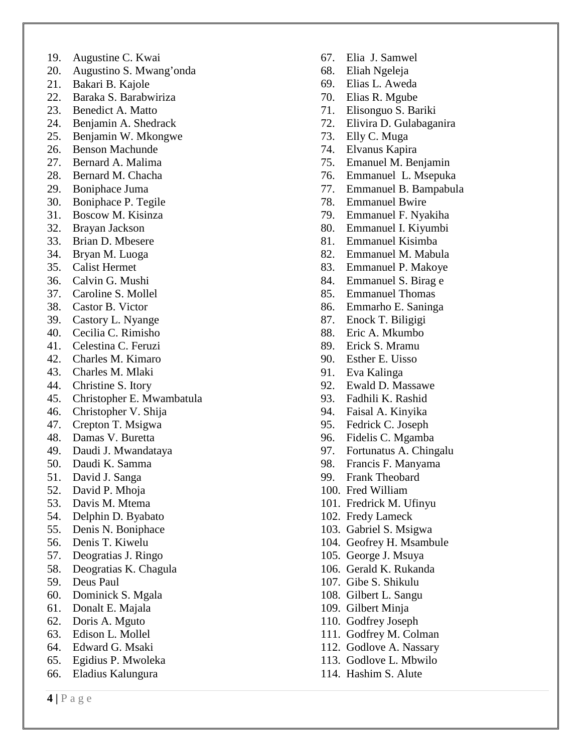- 19. Augustine C. Kwai
- 20. Augustino S. Mwang'onda
- 21. Bakari B. Kajole
- 22. Baraka S. Barabwiriza
- 23. Benedict A. Matto
- 24. Benjamin A. Shedrack
- 25. Benjamin W. Mkongwe
- 26. Benson Machunde
- 27. Bernard A. Malima
- 28. Bernard M. Chacha
- 29. Boniphace Juma
- 30. Boniphace P. Tegile
- 31. Boscow M. Kisinza
- 32. Brayan Jackson
- 33. Brian D. Mbesere
- 34. Bryan M. Luoga
- 35. Calist Hermet
- 36. Calvin G. Mushi
- 37. Caroline S. Mollel
- 38. Castor B. Victor
- 39. Castory L. Nyange
- 40. Cecilia C. Rimisho
- 41. Celestina C. Feruzi
- 42. Charles M. Kimaro
- 43. Charles M. Mlaki
- 44. Christine S. Itory
- 45. Christopher E. Mwambatula
- 46. Christopher V. Shija
- 47. Crepton T. Msigwa
- 48. Damas V. Buretta
- 49. Daudi J. Mwandataya
- 50. Daudi K. Samma
- 51. David J. Sanga
- 52. David P. Mhoja
- 53. Davis M. Mtema
- 54. Delphin D. Byabato
- 55. Denis N. Boniphace
- 56. Denis T. Kiwelu
- 57. Deogratias J. Ringo
- 58. Deogratias K. Chagula
- 59. Deus Paul
- 60. Dominick S. Mgala
- 61. Donalt E. Majala
- 62. Doris A. Mguto
- 63. Edison L. Mollel
- 64. Edward G. Msaki
- 65. Egidius P. Mwoleka
- 66. Eladius Kalungura
- 67. Elia J. Samwel
- 68. Eliah Ngeleja
- 69. Elias L. Aweda
- 70. Elias R. Mgube
- 71. Elisonguo S. Bariki
- 72. Elivira D. Gulabaganira
- 73. Elly C. Muga
- 74. Elvanus Kapira
- 75. Emanuel M. Benjamin
- 76. Emmanuel L. Msepuka
- 77. Emmanuel B. Bampabula
- 78. Emmanuel Bwire
- 79. Emmanuel F. Nyakiha
- 80. Emmanuel I. Kiyumbi
- 81. Emmanuel Kisimba
- 82. Emmanuel M. Mabula
- 83. Emmanuel P. Makoye
- 84. Emmanuel S. Birag e
- 85. Emmanuel Thomas
- 86. Emmarho E. Saninga
- 87. Enock T. Biligigi
- 88. Eric A. Mkumbo
- 89. Erick S. Mramu
- 90. Esther E. Uisso
- 91. Eva Kalinga
- 92. Ewald D. Massawe
- 93. Fadhili K. Rashid
- 94. Faisal A. Kinyika
- 95. Fedrick C. Joseph
- 96. Fidelis C. Mgamba
- 97. Fortunatus A. Chingalu
- 98. Francis F. Manyama
- 99. Frank Theobard
- 100. Fred William
- 101. Fredrick M. Ufinyu
- 102. Fredy Lameck
- 103. Gabriel S. Msigwa
- 104. Geofrey H. Msambule
- 105. George J. Msuya
- 106. Gerald K. Rukanda
- 107. Gibe S. Shikulu
- 108. Gilbert L. Sangu
- 109. Gilbert Minja
- 110. Godfrey Joseph
- 111. Godfrey M. Colman
- 112. Godlove A. Nassary
- 113. Godlove L. Mbwilo
- 114. Hashim S. Alute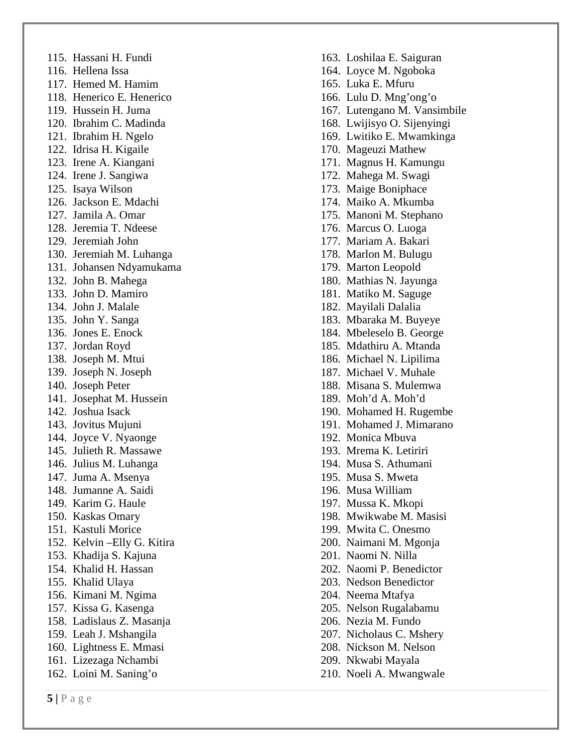115. Hassani H. Fundi 116. Hellena Issa 117. Hemed M. Hamim 118. Henerico E. Henerico 119. Hussein H. Juma 120. Ibrahim C. Madinda 121. Ibrahim H. Ngelo 122. Idrisa H. Kigaile 123. Irene A. Kiangani 124. Irene J. Sangiwa 125. Isaya Wilson 126. Jackson E. Mdachi 127. Jamila A. Omar 128. Jeremia T. Ndeese 129. Jeremiah John 130. Jeremiah M. Luhanga 131. Johansen Ndyamukama 132. John B. Mahega 133. John D. Mamiro 134. John J. Malale 135. John Y. Sanga 136. Jones E. Enock 137. Jordan Royd 138. Joseph M. Mtui 139. Joseph N. Joseph 140. Joseph Peter 141. Josephat M. Hussein 142. Joshua Isack 143. Jovitus Mujuni 144. Joyce V. Nyaonge 145. Julieth R. Massawe 146. Julius M. Luhanga 147. Juma A. Msenya 148. Jumanne A. Saidi 149. Karim G. Haule 150. Kaskas Omary 151. Kastuli Morice 152. Kelvin –Elly G. Kitira 153. Khadija S. Kajuna 154. Khalid H. Hassan 155. Khalid Ulaya 156. Kimani M. Ngima 157. Kissa G. Kasenga 158. Ladislaus Z. Masanja 159. Leah J. Mshangila 160. Lightness E. Mmasi 161. Lizezaga Nchambi 162. Loini M. Saning'o

164. Loyce M. Ngoboka 165. Luka E. Mfuru 166. Lulu D. Mng'ong'o 167. Lutengano M. Vansimbile 168. Lwijisyo O. Sijenyingi 169. Lwitiko E. Mwamkinga 170. Mageuzi Mathew 171. Magnus H. Kamungu 172. Mahega M. Swagi 173. Maige Boniphace 174. Maiko A. Mkumba 175. Manoni M. Stephano 176. Marcus O. Luoga 177. Mariam A. Bakari 178. Marlon M. Bulugu 179. Marton Leopold 180. Mathias N. Jayunga 181. Matiko M. Saguge 182. Mayilali Dalalia 183. Mbaraka M. Buyeye 184. Mbeleselo B. George 185. Mdathiru A. Mtand a 186. Michael N. Lipilima 187. Michael V. Muhale 188. Misana S. Mulemwa 189. Moh'd A. Moh'd 190. Mohamed H. Rugembe 191. Mohamed J. Mimarano 192. Monica Mbuva 193. Mrema K. Letiriri 194. Musa S. Athumani 195. Musa S. Mweta 196. Musa William 197. Mussa K. Mkopi 198. Mwikwabe M. Masisi 199. Mwita C. Onesmo 200. Naimani M. Mgonja 201. Naomi N. Nilla 202. Naomi P. Benedictor 203. Nedson Benedictor 204. Neema Mtafya 205. Nelson Rugalabamu 206. Nezia M. Fundo 207. Nicholaus C. Mshery 208. Nickson M. Nelson 209. Nkwabi Mayala 210. Noeli A. Mwangwale

163. Loshilaa E. Saiguran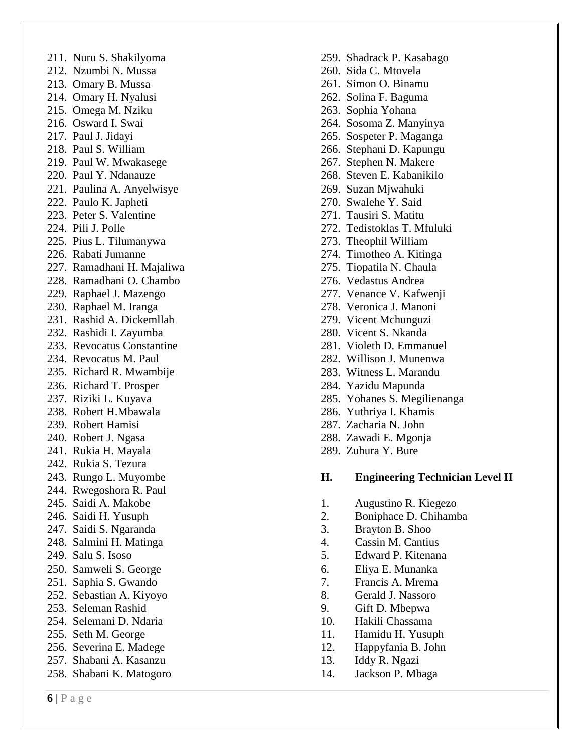211. Nuru S. Shakilyoma 212. Nzumbi N. Mussa 213. Omary B. Mussa 214. Omary H. Nyalusi 215. Omega M. Nziku 216. Osward I. Swai 217. Paul J. Jidayi 218. Paul S. William 219. Paul W. Mwakasege 220. Paul Y. Ndanauze 221. Paulina A. Anyelwisye 222. Paulo K. Japheti 223. Peter S. Valentine 224. Pili J. Polle 225. Pius L. Tilumanywa 226. Rabati Jumanne 227. Ramadhani H. Majaliwa 228. Ramadhani O. Chambo 229. Raphael J. Mazengo 230. Raphael M. Iranga 231. Rashid A. Dickemllah 232. Rashidi I. Zayumba 233. Revocatus Constantine 234. Revocatus M. Paul 235. Richard R. Mwambije 236. Richard T. Prosper 237. Riziki L. Kuyava 238. Robert H.Mbawala 239. Robert Hamisi 240. Robert J. Ngasa 241. Rukia H. Mayala 242. Rukia S. Tezura 243. Rungo L. Muyombe 244. Rwegoshora R. Paul 245. Saidi A. Makobe 246. Saidi H. Yusuph 247. Saidi S. Ngaranda 248. Salmini H. Matinga 249. Salu S. Isoso 250. Samweli S. George 251. Saphia S. Gwando 252. Sebastian A. Kiyoyo 253. Seleman Rashid 254. Selemani D. Ndaria 255. Seth M. George 256. Severina E. Madege 257. Shabani A. Kasanzu 258. Shabani K. Matogoro

- 259. Shadrack P. Kasabago
- 260. Sida C. Mtovela
- 261. Simon O. Binamu
- 262. Solina F. Baguma
- 263. Sophia Yohana
- 264. Sosoma Z. Manyinya
- 265. Sospeter P. Maganga
- 266. Stephani D. Kapungu
- 267. Stephen N. Makere
- 268. Steven E. Kabanikilo
- 269. Suzan Mjwahuki
- 270. Swalehe Y. Said
- 271. Tausiri S. Matitu
- 272. Tedistoklas T. Mfuluki
- 273. Theophil William
- 274. Timotheo A. Kitinga
- 275. Tiopatila N. Chaula
- 276. Vedastus Andrea
- 277. Venance V. Kafwenji
- 278. Veronica J. Manoni
- 279. Vicent Mchunguzi
- 280. Vicent S. Nkanda
- 281. Violeth D. Emmanuel
- 282. Willison J. Munenwa
- 283. Witness L. Marandu
- 284. Yazidu Mapunda
- 285. Yohanes S. Megilienanga
- 286. Yuthriya I. Khamis
- 287. Zacharia N. John
- 288. Zawadi E. Mgonja
- 289. Zuhura Y. Bure

#### **H. Engineering Technician Level I I**

- 1. Augustino R. Kiegezo
- 2. Boniphace D. Chihamba
- 3. Brayton B. Shoo
- 4. Cassin M. Cantius
- 5. Edward P. Kitenana
- 6. Eliya E. Munanka
- 7. Francis A. Mrema
- 8. Gerald J. Nassoro
- 9. Gift D. Mbepwa
- 10. Hakili Chassama
- 11. Hamidu H. Yusuph
- 12. Happyfania B. John
- 13. Iddy R. Ngazi
- 14. Jackson P. Mbaga